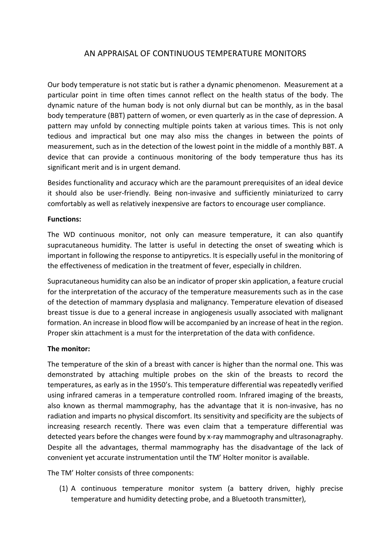## AN APPRAISAL OF CONTINUOUS TEMPERATURE MONITORS

Our body temperature is not static but is rather a dynamic phenomenon. Measurement at a particular point in time often times cannot reflect on the health status of the body. The dynamic nature of the human body is not only diurnal but can be monthly, as in the basal body temperature (BBT) pattern of women, or even quarterly as in the case of depression. A pattern may unfold by connecting multiple points taken at various times. This is not only tedious and impractical but one may also miss the changes in between the points of measurement, such as in the detection of the lowest point in the middle of a monthly BBT. A device that can provide a continuous monitoring of the body temperature thus has its significant merit and is in urgent demand.

Besides functionality and accuracy which are the paramount prerequisites of an ideal device it should also be user-friendly. Being non-invasive and sufficiently miniaturized to carry comfortably as well as relatively inexpensive are factors to encourage user compliance.

## **Functions:**

The WD continuous monitor, not only can measure temperature, it can also quantify supracutaneous humidity. The latter is useful in detecting the onset of sweating which is important in following the response to antipyretics. It is especially useful in the monitoring of the effectiveness of medication in the treatment of fever, especially in children.

Supracutaneous humidity can also be an indicator of proper skin application, a feature crucial for the interpretation of the accuracy of the temperature measurements such as in the case of the detection of mammary dysplasia and malignancy. Temperature elevation of diseased breast tissue is due to a general increase in angiogenesis usually associated with malignant formation. An increase in blood flow will be accompanied by an increase of heat in the region. Proper skin attachment is a must for the interpretation of the data with confidence.

## **The monitor:**

The temperature of the skin of a breast with cancer is higher than the normal one. This was demonstrated by attaching multiple probes on the skin of the breasts to record the temperatures, as early as in the 1950's. This temperature differential was repeatedly verified using infrared cameras in a temperature controlled room. Infrared imaging of the breasts, also known as thermal mammography, has the advantage that it is non-invasive, has no radiation and imparts no physical discomfort. Its sensitivity and specificity are the subjects of increasing research recently. There was even claim that a temperature differential was detected years before the changes were found by x-ray mammography and ultrasonagraphy. Despite all the advantages, thermal mammography has the disadvantage of the lack of convenient yet accurate instrumentation until the TM' Holter monitor is available.

The TM' Holter consists of three components:

(1) A continuous temperature monitor system (a battery driven, highly precise temperature and humidity detecting probe, and a Bluetooth transmitter),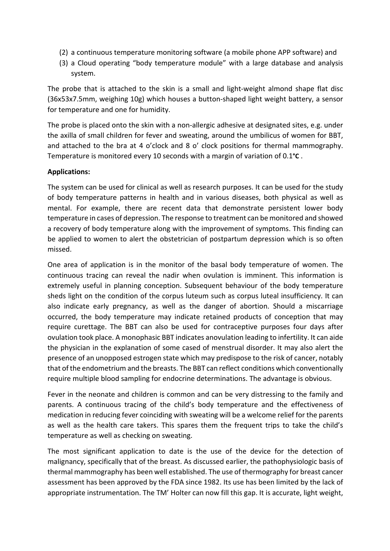- (2) a continuous temperature monitoring software (a mobile phone APP software) and
- (3) a Cloud operating "body temperature module" with a large database and analysis system.

The probe that is attached to the skin is a small and light-weight almond shape flat disc (36x53x7.5mm, weighing 10g) which houses a button-shaped light weight battery, a sensor for temperature and one for humidity.

The probe is placed onto the skin with a non-allergic adhesive at designated sites, e.g. under the axilla of small children for fever and sweating, around the umbilicus of women for BBT, and attached to the bra at 4 o'clock and 8 o' clock positions for thermal mammography. Temperature is monitored every 10 seconds with a margin of variation of 0.1**°C** .

## **Applications:**

The system can be used for clinical as well as research purposes. It can be used for the study of body temperature patterns in health and in various diseases, both physical as well as mental. For example, there are recent data that demonstrate persistent lower body temperature in cases of depression. The response to treatment can be monitored and showed a recovery of body temperature along with the improvement of symptoms. This finding can be applied to women to alert the obstetrician of postpartum depression which is so often missed.

One area of application is in the monitor of the basal body temperature of women. The continuous tracing can reveal the nadir when ovulation is imminent. This information is extremely useful in planning conception. Subsequent behaviour of the body temperature sheds light on the condition of the corpus luteum such as corpus luteal insufficiency. It can also indicate early pregnancy, as well as the danger of abortion. Should a miscarriage occurred, the body temperature may indicate retained products of conception that may require curettage. The BBT can also be used for contraceptive purposes four days after ovulation took place. A monophasic BBT indicates anovulation leading to infertility. It can aide the physician in the explanation of some cased of menstrual disorder. It may also alert the presence of an unopposed estrogen state which may predispose to the risk of cancer, notably that of the endometrium and the breasts. The BBT can reflect conditions which conventionally require multiple blood sampling for endocrine determinations. The advantage is obvious.

Fever in the neonate and children is common and can be very distressing to the family and parents. A continuous tracing of the child's body temperature and the effectiveness of medication in reducing fever coinciding with sweating will be a welcome relief for the parents as well as the health care takers. This spares them the frequent trips to take the child's temperature as well as checking on sweating.

The most significant application to date is the use of the device for the detection of malignancy, specifically that of the breast. As discussed earlier, the pathophysiologic basis of thermal mammography has been well established. The use of thermography for breast cancer assessment has been approved by the FDA since 1982. Its use has been limited by the lack of appropriate instrumentation. The TM' Holter can now fill this gap. It is accurate, light weight,